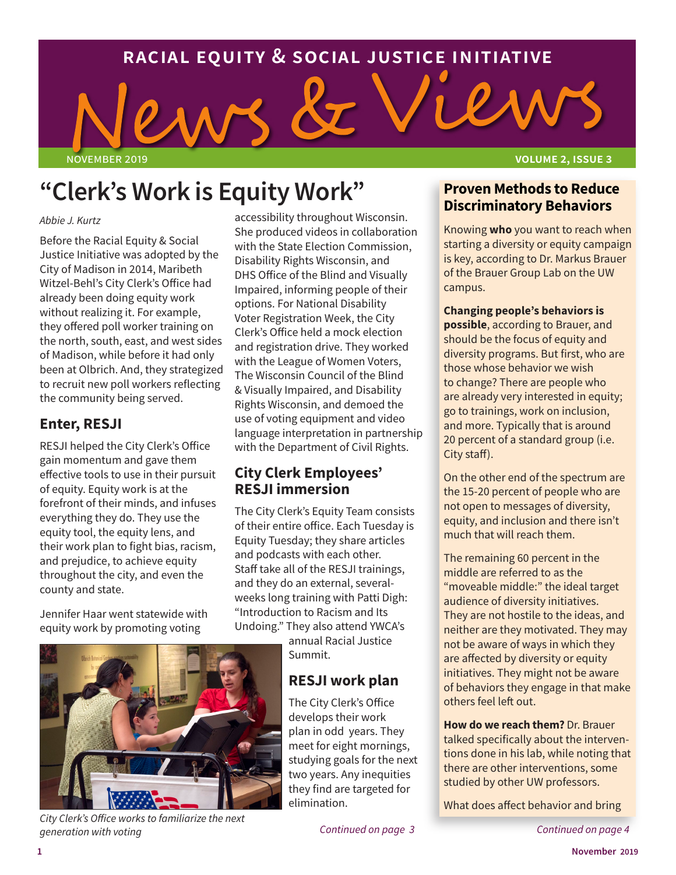### **racial equity & social justice initiative**

# november 2019 **volume 2, issue 3**

## **"Clerk's Work is Equity Work"**

#### *Abbie J. Kurtz*

Before the Racial Equity & Social Justice Initiative was adopted by the City of Madison in 2014, Maribeth Witzel-Behl's City Clerk's Office had already been doing equity work without realizing it. For example, they offered poll worker training on the north, south, east, and west sides of Madison, while before it had only been at Olbrich. And, they strategized to recruit new poll workers reflecting the community being served.

#### **Enter, RESJI**

RESJI helped the City Clerk's Office gain momentum and gave them effective tools to use in their pursuit of equity. Equity work is at the forefront of their minds, and infuses everything they do. They use the equity tool, the equity lens, and their work plan to fight bias, racism, and prejudice, to achieve equity throughout the city, and even the county and state.

Jennifer Haar went statewide with equity work by promoting voting

accessibility throughout Wisconsin. She produced videos in collaboration with the State Election Commission, Disability Rights Wisconsin, and DHS Office of the Blind and Visually Impaired, informing people of their options. For National Disability Voter Registration Week, the City Clerk's Office held a mock election and registration drive. They worked with the League of Women Voters, The Wisconsin Council of the Blind & Visually Impaired, and Disability Rights Wisconsin, and demoed the use of voting equipment and video language interpretation in partnership with the Department of Civil Rights.

#### **City Clerk Employees' RESJI immersion**

The City Clerk's Equity Team consists of their entire office. Each Tuesday is Equity Tuesday; they share articles and podcasts with each other. Staff take all of the RESJI trainings, and they do an external, severalweeks long training with Patti Digh: "Introduction to Racism and Its Undoing." They also attend YWCA's

annual Racial Justice Summit.

#### **RESJI work plan**

The City Clerk's Office develops their work plan in odd years. They meet for eight mornings, studying goals for the next two years. Any inequities they find are targeted for elimination.

*Continued on page 3 Continued on page 4*

#### **Proven Methods to Reduce Discriminatory Behaviors**

Knowing **who** you want to reach when starting a diversity or equity campaign is key, according to Dr. Markus Brauer of the Brauer Group Lab on the UW campus.

**Changing people's behaviors is possible**, according to Brauer, and should be the focus of equity and diversity programs. But first, who are those whose behavior we wish to change? There are people who are already very interested in equity; go to trainings, work on inclusion, and more. Typically that is around 20 percent of a standard group (i.e. City staff).

On the other end of the spectrum are the 15-20 percent of people who are not open to messages of diversity, equity, and inclusion and there isn't much that will reach them.

The remaining 60 percent in the middle are referred to as the "moveable middle:" the ideal target audience of diversity initiatives. They are not hostile to the ideas, and neither are they motivated. They may not be aware of ways in which they are affected by diversity or equity initiatives. They might not be aware of behaviors they engage in that make others feel left out.

**How do we reach them?** Dr. Brauer talked specifically about the interventions done in his lab, while noting that there are other interventions, some studied by other UW professors.

What does affect behavior and bring



*City Clerk's Office works to familiarize the next generation with voting*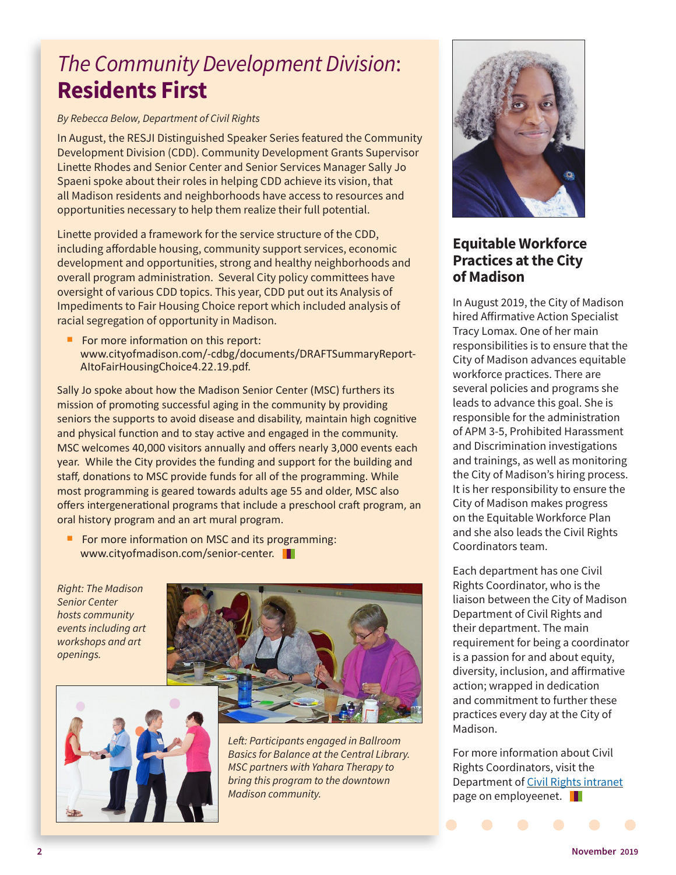## *The Community Development Division*: **Residents First**

#### *By Rebecca Below, Department of Civil Rights*

In August, the RESJI Distinguished Speaker Series featured the Community Development Division (CDD). Community Development Grants Supervisor Linette Rhodes and Senior Center and Senior Services Manager Sally Jo Spaeni spoke about their roles in helping CDD achieve its vision, that all Madison residents and neighborhoods have access to resources and opportunities necessary to help them realize their full potential.

Linette provided a framework for the service structure of the CDD, including affordable housing, community support services, economic development and opportunities, strong and healthy neighborhoods and overall program administration. Several City policy committees have oversight of various CDD topics. This year, CDD put out its Analysis of Impediments to Fair Housing Choice report which included analysis of racial segregation of opportunity in Madison.

For more information on this report: [www.cityofmadison.com/-cdbg/documents/DRAFTSummaryReport-](https://www.cityofmadison.com/cdbg/documents/DRAFTSummaryReport-AItoFairHousingChoice4.22.19.pdf)[AItoFairHousingChoice4.22.19.pdf](https://www.cityofmadison.com/cdbg/documents/DRAFTSummaryReport-AItoFairHousingChoice4.22.19.pdf).

Sally Jo spoke about how the Madison Senior Center (MSC) furthers its mission of promoting successful aging in the community by providing seniors the supports to avoid disease and disability, maintain high cognitive and physical function and to stay active and engaged in the community. MSC welcomes 40,000 visitors annually and offers nearly 3,000 events each year. While the City provides the funding and support for the building and staff, donations to MSC provide funds for all of the programming. While most programming is geared towards adults age 55 and older, MSC also offers intergenerational programs that include a preschool craft program, an oral history program and an art mural program.

For more information on MSC and its programming: [www.cityofmadison.com/senior-center](https://www.cityofmadison.com/senior-center).

*Right: The Madison Senior Center hosts community events including art workshops and art openings.* 





*Left: Participants engaged in Ballroom Basics for Balance at the Central Library. MSC partners with Yahara Therapy to bring this program to the downtown Madison community.*



#### **Equitable Workforce Practices at the City of Madison**

In August 2019, the City of Madison hired Affirmative Action Specialist Tracy Lomax. One of her main responsibilities is to ensure that the City of Madison advances equitable workforce practices. There are several policies and programs she leads to advance this goal. She is responsible for the administration of APM 3-5, Prohibited Harassment and Discrimination investigations and trainings, as well as monitoring the City of Madison's hiring process. It is her responsibility to ensure the City of Madison makes progress on the Equitable Workforce Plan and she also leads the Civil Rights Coordinators team.

Each department has one Civil Rights Coordinator, who is the liaison between the City of Madison Department of Civil Rights and their department. The main requirement for being a coordinator is a passion for and about equity, diversity, inclusion, and affirmative action; wrapped in dedication and commitment to further these practices every day at the City of Madison.

For more information about Civil Rights Coordinators, visit the Department of [Civil Rights intranet](https://www.cityofmadison.com/employeenet/civil-rights) page on employeenet. **I**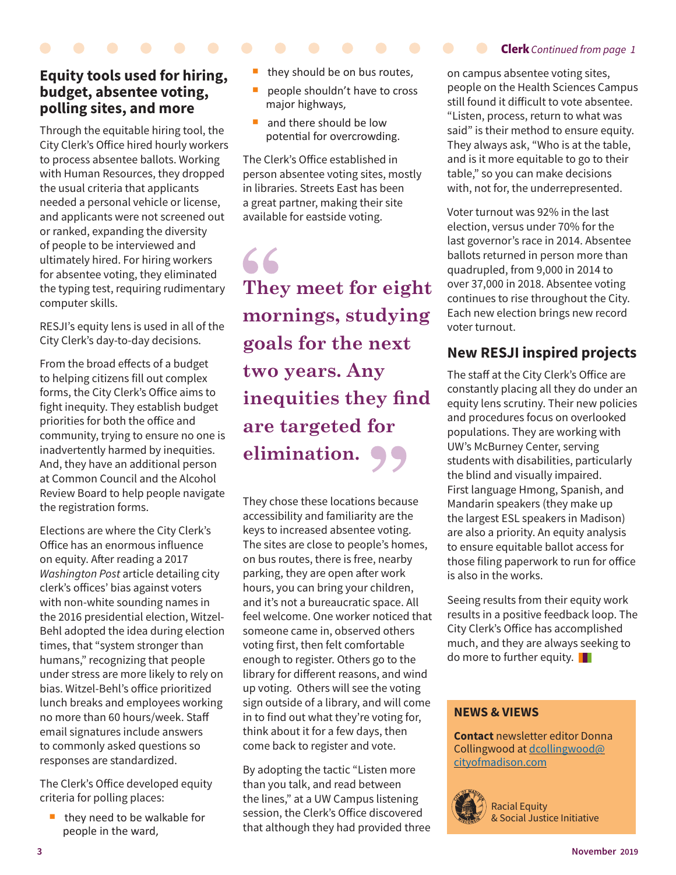#### **Equity tools used for hiring, budget, absentee voting, polling sites, and more**

Through the equitable hiring tool, the City Clerk's Office hired hourly workers to process absentee ballots. Working with Human Resources, they dropped the usual criteria that applicants needed a personal vehicle or license, and applicants were not screened out or ranked, expanding the diversity of people to be interviewed and ultimately hired. For hiring workers for absentee voting, they eliminated the typing test, requiring rudimentary computer skills.

RESJI's equity lens is used in all of the City Clerk's day-to-day decisions.

From the broad effects of a budget to helping citizens fill out complex forms, the City Clerk's Office aims to fight inequity. They establish budget priorities for both the office and community, trying to ensure no one is inadvertently harmed by inequities. And, they have an additional person at Common Council and the Alcohol Review Board to help people navigate the registration forms.

Elections are where the City Clerk's Office has an enormous influence on equity. After reading a 2017 *Washington Post* article detailing city clerk's offices' bias against voters with non-white sounding names in the 2016 presidential election, Witzel-Behl adopted the idea during election times, that "system stronger than humans," recognizing that people under stress are more likely to rely on bias. Witzel-Behl's office prioritized lunch breaks and employees working no more than 60 hours/week. Staff email signatures include answers to commonly asked questions so responses are standardized.

The Clerk's Office developed equity criteria for polling places:

 they need to be walkable for people in the ward,

- they should be on bus routes,
- people shouldn't have to cross major highways,
- and there should be low potential for overcrowding.

The Clerk's Office established in person absentee voting sites, mostly in libraries. Streets East has been a great partner, making their site available for eastside voting.

**They meet for eight mornings, studying goals for the next two years. Any inequities they find are targeted for elimination.**

They chose these locations because accessibility and familiarity are the keys to increased absentee voting. The sites are close to people's homes, on bus routes, there is free, nearby parking, they are open after work hours, you can bring your children, and it's not a bureaucratic space. All feel welcome. One worker noticed that someone came in, observed others voting first, then felt comfortable enough to register. Others go to the library for different reasons, and wind up voting. Others will see the voting sign outside of a library, and will come in to find out what they're voting for, think about it for a few days, then come back to register and vote.

By adopting the tactic "Listen more than you talk, and read between the lines," at a UW Campus listening session, the Clerk's Office discovered that although they had provided three **Clerk** *Continued from page 1*

on campus absentee voting sites, people on the Health Sciences Campus still found it difficult to vote absentee. "Listen, process, return to what was said" is their method to ensure equity. They always ask, "Who is at the table, and is it more equitable to go to their table," so you can make decisions with, not for, the underrepresented.

Voter turnout was 92% in the last election, versus under 70% for the last governor's race in 2014. Absentee ballots returned in person more than quadrupled, from 9,000 in 2014 to over 37,000 in 2018. Absentee voting continues to rise throughout the City. Each new election brings new record voter turnout.

#### **New RESJI inspired projects**

The staff at the City Clerk's Office are constantly placing all they do under an equity lens scrutiny. Their new policies and procedures focus on overlooked populations. They are working with UW's McBurney Center, serving students with disabilities, particularly the blind and visually impaired. First language Hmong, Spanish, and Mandarin speakers (they make up the largest ESL speakers in Madison) are also a priority. An equity analysis to ensure equitable ballot access for those filing paperwork to run for office is also in the works.

Seeing results from their equity work results in a positive feedback loop. The City Clerk's Office has accomplished much, and they are always seeking to do more to further equity.

#### **NEWS & VIEWS**

**Contact** newsletter editor Donna Collingwood at dcollingwood@ cityofmadison.com



Racial Equity & Social Justice Initiative